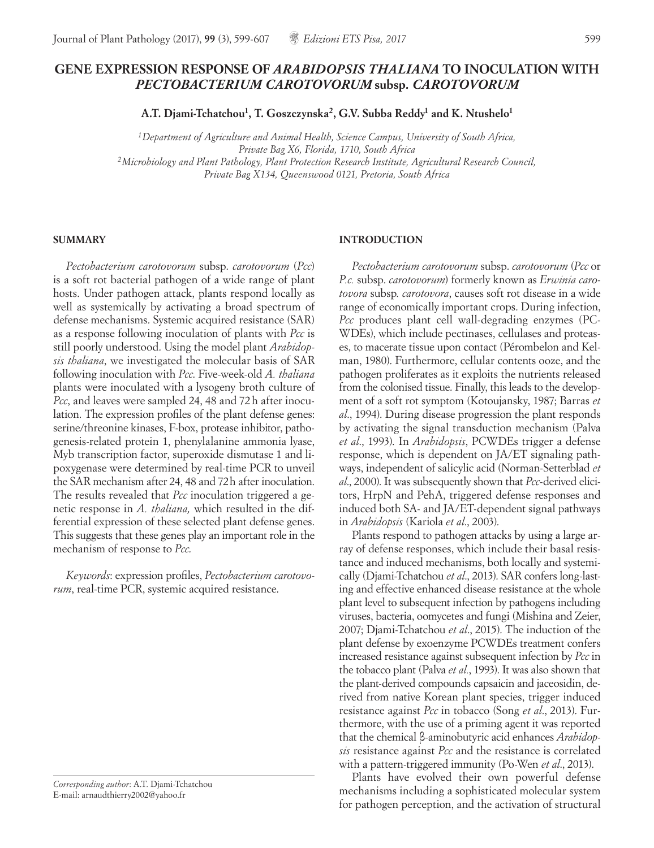# **GENE EXPRESSION RESPONSE OF** *ARABIDOPSIS THALIANA* **TO INOCULATION WITH**  *PECTOBACTERIUM CAROTOVORUM* **subsp.** *CAROTOVORUM*

**A.T. Djami-Tchatchou1, T. Goszczynska2, G.V. Subba Reddy1 and K. Ntushelo1**

*1Department of Agriculture and Animal Health, Science Campus, University of South Africa, Private Bag X6, Florida, 1710, South Africa 2Microbiology and Plant Pathology, Plant Protection Research Institute, Agricultural Research Council, Private Bag X134, Queenswood 0121, Pretoria, South Africa*

#### **SUMMARY**

*Pectobacterium carotovorum* subsp. *carotovorum* (*Pcc*) is a soft rot bacterial pathogen of a wide range of plant hosts. Under pathogen attack, plants respond locally as well as systemically by activating a broad spectrum of defense mechanisms. Systemic acquired resistance (SAR) as a response following inoculation of plants with *Pcc* is still poorly understood. Using the model plant *Arabidopsis thaliana*, we investigated the molecular basis of SAR following inoculation with *Pcc*. Five-week-old *A. thaliana* plants were inoculated with a lysogeny broth culture of *Pcc*, and leaves were sampled 24, 48 and 72h after inoculation. The expression profiles of the plant defense genes: serine/threonine kinases, F-box, protease inhibitor, pathogenesis-related protein 1, phenylalanine ammonia lyase, Myb transcription factor, superoxide dismutase 1 and lipoxygenase were determined by real-time PCR to unveil the SAR mechanism after 24, 48 and 72h after inoculation. The results revealed that *Pcc* inoculation triggered a genetic response in *A. thaliana,* which resulted in the differential expression of these selected plant defense genes. This suggests that these genes play an important role in the mechanism of response to *Pcc*.

*Keywords*: expression profiles, *Pectobacterium carotovorum*, real-time PCR, systemic acquired resistance.

*Corresponding author*: A.T. Djami-Tchatchou E-mail: arnaudthierry2002@yahoo.fr

### **INTRODUCTION**

*Pectobacterium carotovorum* subsp. *carotovorum* (*Pcc* or *P.c.* subsp. *carotovorum*) formerly known as *Erwinia carotovora* subsp*. carotovora*, causes soft rot disease in a wide range of economically important crops. During infection, *Pcc* produces plant cell wall-degrading enzymes (PC-WDEs), which include pectinases, cellulases and proteases, to macerate tissue upon contact (Pérombelon and Kelman, 1980). Furthermore, cellular contents ooze, and the pathogen proliferates as it exploits the nutrients released from the colonised tissue. Finally, this leads to the development of a soft rot symptom (Kotoujansky, 1987; Barras *et al*., 1994). During disease progression the plant responds by activating the signal transduction mechanism (Palva *et al*., 1993). In *Arabidopsis*, PCWDEs trigger a defense response, which is dependent on JA/ET signaling pathways, independent of salicylic acid (Norman-Setterblad *et al*., 2000). It was subsequently shown that *Pcc*-derived elicitors, HrpN and PehA, triggered defense responses and induced both SA- and JA/ET-dependent signal pathways in *Arabidopsis* (Kariola *et al*., 2003).

Plants respond to pathogen attacks by using a large array of defense responses, which include their basal resistance and induced mechanisms, both locally and systemically (Djami-Tchatchou *et al*., 2013). SAR confers long-lasting and effective enhanced disease resistance at the whole plant level to subsequent infection by pathogens including viruses, bacteria, oomycetes and fungi (Mishina and Zeier, 2007; Djami-Tchatchou *et al*., 2015). The induction of the plant defense by exoenzyme PCWDEs treatment confers increased resistance against subsequent infection by *Pcc* in the tobacco plant (Palva *et al.*, 1993). It was also shown that the plant-derived compounds capsaicin and jaceosidin, derived from native Korean plant species, trigger induced resistance against *Pcc* in tobacco (Song *et al*., 2013). Furthermore, with the use of a priming agent it was reported that the chemical β-aminobutyric acid enhances *Arabidopsis* resistance against *Pcc* and the resistance is correlated with a pattern-triggered immunity (Po-Wen *et al*., 2013).

Plants have evolved their own powerful defense mechanisms including a sophisticated molecular system for pathogen perception, and the activation of structural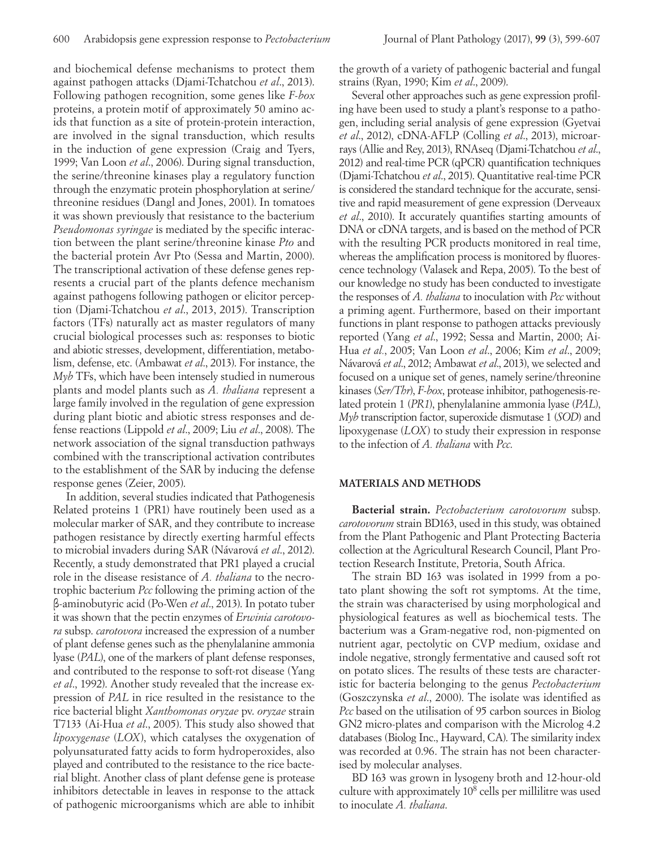and biochemical defense mechanisms to protect them against pathogen attacks (Djami-Tchatchou *et al*., 2013). Following pathogen recognition, some genes like *F-box* proteins, a protein motif of approximately 50 amino acids that function as a site of protein-protein interaction, are involved in the signal transduction, which results in the induction of gene expression (Craig and Tyers, 1999; Van Loon *et al*., 2006). During signal transduction, the serine/threonine kinases play a regulatory function through the enzymatic protein phosphorylation at serine/ threonine residues (Dangl and Jones, 2001). In tomatoes it was shown previously that resistance to the bacterium *Pseudomonas syringae* is mediated by the specific interaction between the plant serine/threonine kinase *Pto* and the bacterial protein Avr Pto (Sessa and Martin, 2000). The transcriptional activation of these defense genes represents a crucial part of the plants defence mechanism against pathogens following pathogen or elicitor perception (Djami-Tchatchou *et al*., 2013, 2015). Transcription factors (TFs) naturally act as master regulators of many crucial biological processes such as: responses to biotic and abiotic stresses, development, differentiation, metabolism, defense, etc. (Ambawat *et al*., 2013). For instance, the *Myb* TFs, which have been intensely studied in numerous plants and model plants such as *A. thaliana* represent a large family involved in the regulation of gene expression during plant biotic and abiotic stress responses and defense reactions (Lippold *et al*., 2009; Liu *et al*., 2008). The network association of the signal transduction pathways combined with the transcriptional activation contributes to the establishment of the SAR by inducing the defense response genes (Zeier, 2005).

In addition, several studies indicated that Pathogenesis Related proteins 1 (PR1) have routinely been used as a molecular marker of SAR, and they contribute to increase pathogen resistance by directly exerting harmful effects to microbial invaders during SAR (Návarová *et al*., 2012). Recently, a study demonstrated that PR1 played a crucial role in the disease resistance of *A. thaliana* to the necrotrophic bacterium *Pcc* following the priming action of the β-aminobutyric acid (Po-Wen *et al*., 2013). In potato tuber it was shown that the pectin enzymes of *Erwinia carotovora* subsp. *carotovora* increased the expression of a number of plant defense genes such as the phenylalanine ammonia lyase (*PAL*), one of the markers of plant defense responses, and contributed to the response to soft-rot disease (Yang *et al*., 1992). Another study revealed that the increase expression of *PAL* in rice resulted in the resistance to the rice bacterial blight *Xanthomonas oryzae* pv. *oryzae* strain T7133 (Ai-Hua *et al*., 2005). This study also showed that *lipoxygenase* (*LOX*), which catalyses the oxygenation of polyunsaturated fatty acids to form hydroperoxides, also played and contributed to the resistance to the rice bacterial blight. Another class of plant defense gene is protease inhibitors detectable in leaves in response to the attack of pathogenic microorganisms which are able to inhibit the growth of a variety of pathogenic bacterial and fungal strains (Ryan, 1990; Kim *et al*., 2009).

Several other approaches such as gene expression profiling have been used to study a plant's response to a pathogen, including serial analysis of gene expression (Gyetvai *et al*., 2012), cDNA-AFLP (Colling *et al*., 2013), microarrays (Allie and Rey, 2013), RNAseq (Djami-Tchatchou *et al*., 2012) and real-time PCR (qPCR) quantification techniques (Djami-Tchatchou *et al*., 2015). Quantitative real-time PCR is considered the standard technique for the accurate, sensitive and rapid measurement of gene expression (Derveaux *et al*., 2010). It accurately quantifies starting amounts of DNA or cDNA targets, and is based on the method of PCR with the resulting PCR products monitored in real time, whereas the amplification process is monitored by fluorescence technology (Valasek and Repa, 2005). To the best of our knowledge no study has been conducted to investigate the responses of *A. thaliana* to inoculation with *Pcc* without a priming agent. Furthermore, based on their important functions in plant response to pathogen attacks previously reported (Yang *et al*., 1992; Sessa and Martin, 2000; Ai-Hua *et al.*, 2005; Van Loon *et al*., 2006; Kim *et al*., 2009; Návarová *et al*., 2012; Ambawat *et al*., 2013), we selected and focused on a unique set of genes, namely serine/threonine kinases (*Ser/Thr*), *F-box*, protease inhibitor, pathogenesis-related protein 1 (*PR1*), phenylalanine ammonia lyase (*PAL*), *Myb* transcription factor, superoxide dismutase 1 (*SOD*) and lipoxygenase (*LOX*) to study their expression in response to the infection of *A. thaliana* with *Pcc*.

#### **MATERIALS AND METHODS**

**Bacterial strain.** *Pectobacterium carotovorum* subsp. *carotovorum* strain BD163, used in this study, was obtained from the Plant Pathogenic and Plant Protecting Bacteria collection at the Agricultural Research Council, Plant Protection Research Institute, Pretoria, South Africa.

The strain BD 163 was isolated in 1999 from a potato plant showing the soft rot symptoms. At the time, the strain was characterised by using morphological and physiological features as well as biochemical tests. The bacterium was a Gram-negative rod, non-pigmented on nutrient agar, pectolytic on CVP medium, oxidase and indole negative, strongly fermentative and caused soft rot on potato slices. The results of these tests are characteristic for bacteria belonging to the genus *Pectobacterium* (Goszczynska *et al*., 2000). The isolate was identified as *Pcc* based on the utilisation of 95 carbon sources in Biolog GN2 micro-plates and comparison with the Microlog 4.2 databases (Biolog Inc., Hayward, CA). The similarity index was recorded at 0.96. The strain has not been characterised by molecular analyses.

BD 163 was grown in lysogeny broth and 12-hour-old culture with approximately 108 cells per millilitre was used to inoculate *A. thaliana*.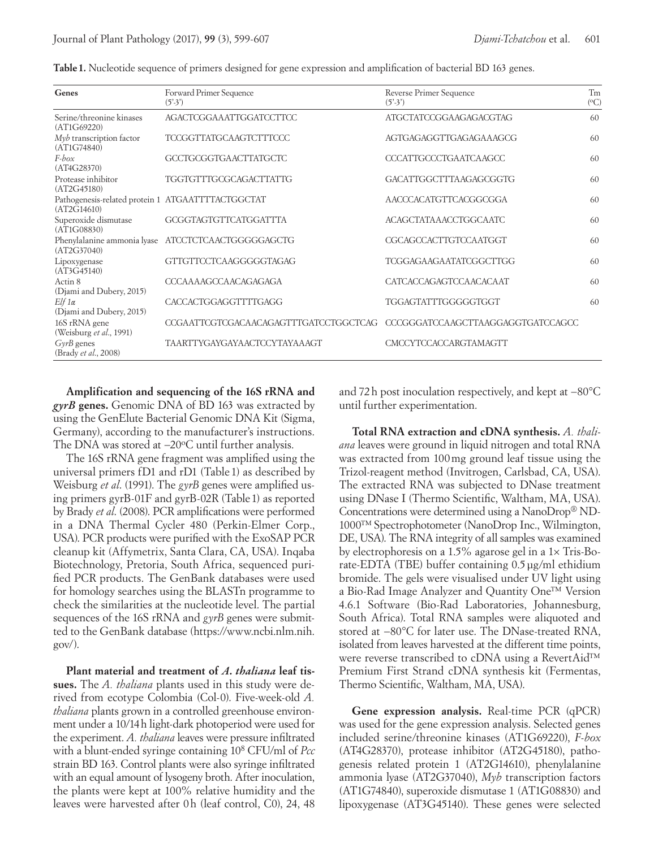| Genes                                                            | Forward Primer Sequence<br>$(5' - 3')$ | Reverse Primer Sequence<br>$(5^{\prime}.3^{\prime})$ |    |  |  |
|------------------------------------------------------------------|----------------------------------------|------------------------------------------------------|----|--|--|
| Serine/threonine kinases<br>(AT1G69220)                          | <b>AGACTCGGAAATTGGATCCTTCC</b>         | ATGCTATCCGGAAGAGACGTAG                               |    |  |  |
| $M\nu b$ transcription factor<br>(AT1G74840)                     | <b>TCCGGTTATGCAAGTCTTTCCC</b>          | <b>AGTGAGAGGTTGAGAGAAAGCG</b>                        | 60 |  |  |
| $F$ -box<br>(AT4G28370)                                          | GCCTGCGGTGAACTTATGCTC                  | CCCATTGCCCTGAATCAAGCC                                | 60 |  |  |
| Protease inhibitor<br>(AT2G45180)                                | <b>TGGTGTTTGCGCAGACTTATTG</b>          | GACATTGGCTTTAAGAGCGGTG                               | 60 |  |  |
| Pathogenesis-related protein 1 ATGAATTTTACTGGCTAT<br>(AT2G14610) |                                        | AACCCACATGTTCACGGCGGA                                | 60 |  |  |
| Superoxide dismutase<br>(AT1G08830)                              | <b>GCGGTAGTGTTCATGGATTTA</b>           | ACAGCTATAAACCTGGCAATC                                | 60 |  |  |
| Phenylalanine ammonia lyase<br>(AT2G37040)                       | ATCCTCTCAACTGGGGGAGCTG                 | CGCAGCCACTTGTCCAATGGT                                | 60 |  |  |
| Lipoxygenase<br>(AT3G45140)                                      | GTTGTTCCTCAAGGGGGTAGAG                 | <b>TCGGAGAAGAATATCGGCTTGG</b>                        | 60 |  |  |
| Actin <sub>8</sub><br>(Djami and Dubery, 2015)                   | <b>CCCAAAAGCCAACAGAGAGA</b>            | CATCACCAGAGTCCAACACAAT                               | 60 |  |  |
| $E$ lf 1 $\alpha$<br>(Djami and Dubery, 2015)                    | <b>CACCACTGGAGGTTTTGAGG</b>            | TGGAGTATTTGGGGGTGGT                                  | 60 |  |  |
| 16S rRNA gene<br>(Weisburg et al., 1991)                         | CCGAATTCGTCGACAACAGAGTTTGATCCTGGCTCAG  | CCCGGGATCCAAGCTTAAGGAGGTGATCCAGCC                    |    |  |  |
| $GyrB$ genes<br>(Brady et al., 2008)                             | <b>TAARTTYGAYGAYAACTCCYTAYAAAGT</b>    | CMCCYTCCACCARGTAMAGTT                                |    |  |  |

**Table1.** Nucleotide sequence of primers designed for gene expression and amplification of bacterial BD 163 genes.

**Amplification and sequencing of the 16S rRNA and**  *gyrB* **genes.** Genomic DNA of BD 163 was extracted by using the GenElute Bacterial Genomic DNA Kit (Sigma, Germany), according to the manufacturer's instructions. The DNA was stored at −20°C until further analysis.

The 16S rRNA gene fragment was amplified using the universal primers fD1 and rD1 (Table 1) as described by Weisburg *et al*. (1991). The *gyrB* genes were amplified using primers gyrB-01F and gyrB-02R (Table1) as reported by Brady *et al*. (2008). PCR amplifications were performed in a DNA Thermal Cycler 480 (Perkin-Elmer Corp., USA). PCR products were purified with the ExoSAP PCR cleanup kit (Affymetrix, Santa Clara, CA, USA). Inqaba Biotechnology, Pretoria, South Africa, sequenced purified PCR products. The GenBank databases were used for homology searches using the BLASTn programme to check the similarities at the nucleotide level. The partial sequences of the 16S rRNA and *gyrB* genes were submitted to the GenBank database (https://www.ncbi.nlm.nih. gov/).

**Plant material and treatment of** *A. thaliana* **leaf tissues.** The *A. thaliana* plants used in this study were derived from ecotype Colombia (Col-0). Five-week-old *A. thaliana* plants grown in a controlled greenhouse environment under a 10/14h light-dark photoperiod were used for the experiment. *A. thaliana* leaves were pressure infiltrated with a blunt-ended syringe containing 108 CFU/ml of *Pcc* strain BD 163. Control plants were also syringe infiltrated with an equal amount of lysogeny broth. After inoculation, the plants were kept at 100% relative humidity and the leaves were harvested after 0h (leaf control, C0), 24, 48 and 72h post inoculation respectively, and kept at −80°C until further experimentation.

**Total RNA extraction and cDNA synthesis.** *A. thaliana* leaves were ground in liquid nitrogen and total RNA was extracted from 100mg ground leaf tissue using the Trizol-reagent method (Invitrogen, Carlsbad, CA, USA). The extracted RNA was subjected to DNase treatment using DNase I (Thermo Scientific, Waltham, MA, USA). Concentrations were determined using a NanoDrop® ND-1000™Spectrophotometer (NanoDrop Inc., Wilmington, DE, USA). The RNA integrity of all samples was examined by electrophoresis on a 1.5% agarose gel in a 1× Tris-Borate-EDTA (TBE) buffer containing 0.5μg/ml ethidium bromide. The gels were visualised under UV light using a Bio-Rad Image Analyzer and Quantity One™ Version 4.6.1 Software (Bio-Rad Laboratories, Johannesburg, South Africa). Total RNA samples were aliquoted and stored at −80°C for later use. The DNase-treated RNA, isolated from leaves harvested at the different time points, were reverse transcribed to cDNA using a RevertAid™ Premium First Strand cDNA synthesis kit (Fermentas, Thermo Scientific, Waltham, MA, USA).

**Gene expression analysis.** Real-time PCR (qPCR) was used for the gene expression analysis. Selected genes included serine/threonine kinases (AT1G69220), *F-box* (AT4G28370), protease inhibitor (AT2G45180), pathogenesis related protein 1 (AT2G14610), phenylalanine ammonia lyase (AT2G37040), *Myb* transcription factors (AT1G74840), superoxide dismutase 1 (AT1G08830) and lipoxygenase (AT3G45140). These genes were selected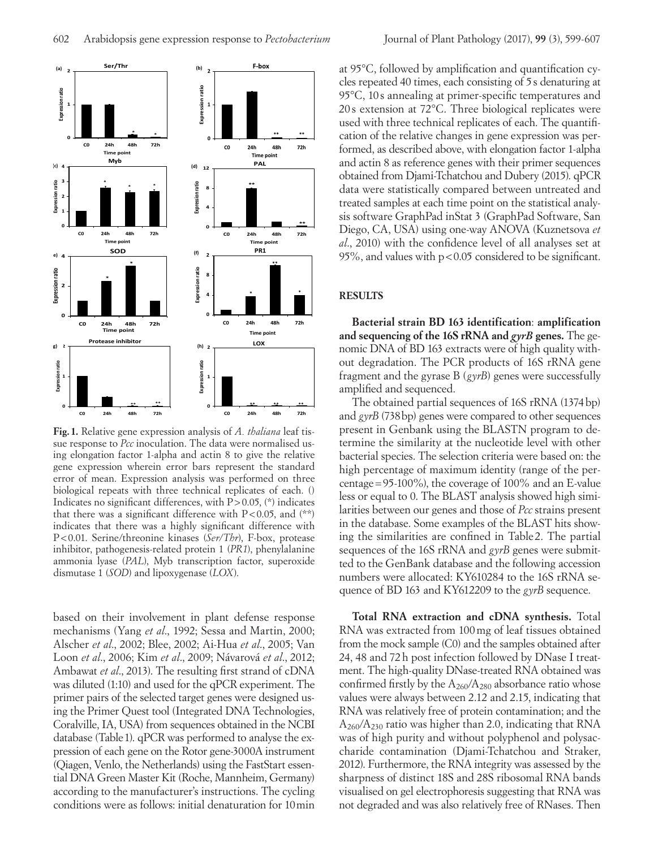

**Fig. 1.** Relative gene expression analysis of *A. thaliana* leaf tissue response to *Pcc* inoculation. The data were normalised using elongation factor 1-alpha and actin 8 to give the relative gene expression wherein error bars represent the standard error of mean. Expression analysis was performed on three biological repeats with three technical replicates of each. () Indicates no significant differences, with  $P > 0.05$ , (\*) indicates that there was a significant difference with  $P < 0.05$ , and  $(**)$ indicates that there was a highly significant difference with P<0.01. Serine/threonine kinases (*Ser/Thr*), F-box, protease inhibitor, pathogenesis-related protein 1 (*PR1*), phenylalanine ammonia lyase (*PAL*), Myb transcription factor, superoxide dismutase 1 (*SOD*) and lipoxygenase (*LOX*).

based on their involvement in plant defense response mechanisms (Yang *et al*., 1992; Sessa and Martin, 2000; Alscher *et al*., 2002; Blee, 2002; Ai-Hua *et al*., 2005; Van Loon *et al*., 2006; Kim *et al*., 2009; Návarová *et al*., 2012; Ambawat *et al*., 2013). The resulting first strand of cDNA was diluted (1:10) and used for the qPCR experiment. The primer pairs of the selected target genes were designed using the Primer Quest tool (Integrated DNA Technologies, Coralville, IA, USA) from sequences obtained in the NCBI database (Table 1). qPCR was performed to analyse the expression of each gene on the Rotor gene-3000A instrument (Qiagen, Venlo, the Netherlands) using the FastStart essential DNA Green Master Kit (Roche, Mannheim, Germany) according to the manufacturer's instructions. The cycling conditions were as follows: initial denaturation for 10min

at 95°C, followed by amplification and quantification cycles repeated 40 times, each consisting of 5s denaturing at 95°C, 10 s annealing at primer-specific temperatures and 20 s extension at 72°C. Three biological replicates were used with three technical replicates of each. The quantification of the relative changes in gene expression was performed, as described above, with elongation factor 1-alpha and actin 8 as reference genes with their primer sequences obtained from Djami-Tchatchou and Dubery (2015). qPCR data were statistically compared between untreated and treated samples at each time point on the statistical analysis software GraphPad inStat 3 (GraphPad Software, San Diego, CA, USA) using one-way ANOVA (Kuznetsova *et al*., 2010) with the confidence level of all analyses set at 95%, and values with  $p < 0.05$  considered to be significant.

#### **RESULTS**

**Bacterial strain BD 163 identification**: **amplification and sequencing of the 16S rRNA and** *gyrB* **genes.** The genomic DNA of BD 163 extracts were of high quality without degradation. The PCR products of 16S rRNA gene fragment and the gyrase B (*gyrB*) genes were successfully amplified and sequenced.

The obtained partial sequences of 16S rRNA (1374bp) and *gyrB* (738bp) genes were compared to other sequences present in Genbank using the BLASTN program to determine the similarity at the nucleotide level with other bacterial species. The selection criteria were based on: the high percentage of maximum identity (range of the percentage=95-100%), the coverage of 100% and an E-value less or equal to 0. The BLAST analysis showed high similarities between our genes and those of *Pcc* strains present in the database. Some examples of the BLAST hits showing the similarities are confined in Table 2. The partial sequences of the 16S rRNA and *gyrB* genes were submitted to the GenBank database and the following accession numbers were allocated: KY610284 to the 16S rRNA sequence of BD 163 and KY612209 to the *gyrB* sequence.

**Total RNA extraction and cDNA synthesis.** Total RNA was extracted from 100mg of leaf tissues obtained from the mock sample (C0) and the samples obtained after 24, 48 and 72h post infection followed by DNase I treatment. The high-quality DNase-treated RNA obtained was confirmed firstly by the  $A_{260}/A_{280}$  absorbance ratio whose values were always between 2.12 and 2.15, indicating that RNA was relatively free of protein contamination; and the  $A_{260}/A_{230}$  ratio was higher than 2.0, indicating that RNA was of high purity and without polyphenol and polysaccharide contamination (Djami-Tchatchou and Straker, 2012). Furthermore, the RNA integrity was assessed by the sharpness of distinct 18S and 28S ribosomal RNA bands visualised on gel electrophoresis suggesting that RNA was not degraded and was also relatively free of RNases. Then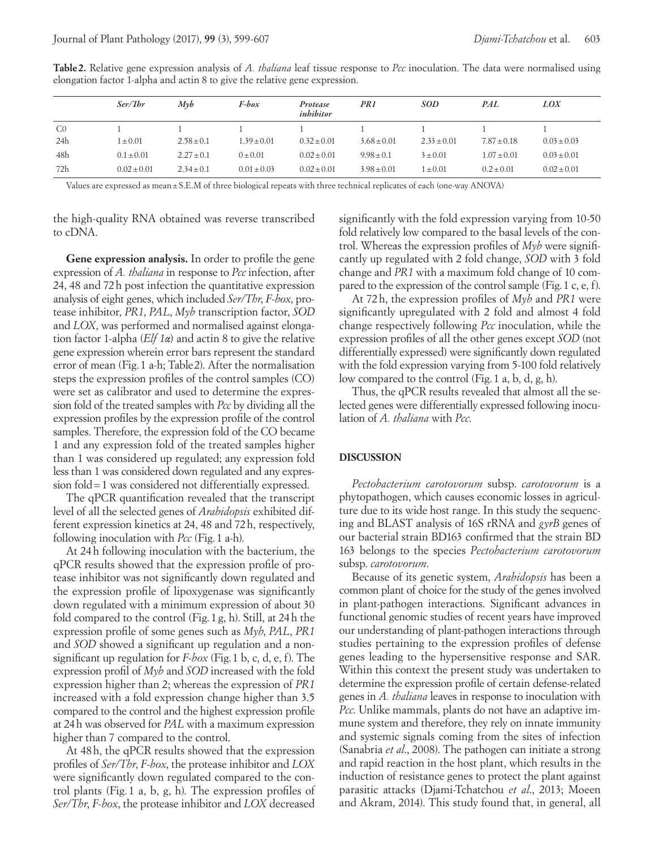|     | Ser/Thr        | $M\nu b$       | F-box           | Protease<br>inhibitor | PR 1            | <b>SOD</b>      | <b>PAL</b>      | LOX             |
|-----|----------------|----------------|-----------------|-----------------------|-----------------|-----------------|-----------------|-----------------|
| CO  |                |                |                 |                       |                 |                 |                 |                 |
| 24h | $1 \pm 0.01$   | $2.58 + 0.1$   | $1.39 \pm 0.01$ | $0.32 + 0.01$         | $3.68 \pm 0.01$ | $2.33 \pm 0.01$ | $7.87 \pm 0.18$ | $0.03 \pm 0.03$ |
| 48h | $0.1 \pm 0.01$ | $2.27 \pm 0.1$ | $0 \pm 0.01$    | $0.02 \pm 0.01$       | $9.98 \pm 0.1$  | $3 \pm 0.01$    | $1.07 \pm 0.01$ | $0.03 \pm 0.01$ |
| 72h | $0.02 + 0.01$  | $2.34 \pm 0.1$ | $0.01 \pm 0.03$ | $0.02 \pm 0.01$       | $3.98 \pm 0.01$ | $1 \pm 0.01$    | $0.2 \pm 0.01$  | $0.02 \pm 0.01$ |

**Table2.** Relative gene expression analysis of *A. thaliana* leaf tissue response to *Pcc* inoculation. The data were normalised using elongation factor 1-alpha and actin 8 to give the relative gene expression.

Values are expressed as mean±S.E.M of three biological repeats with three technical replicates of each (one-way ANOVA)

the high-quality RNA obtained was reverse transcribed to cDNA.

**Gene expression analysis.** In order to profile the gene expression of *A. thaliana* in response to *Pcc* infection, after 24, 48 and 72h post infection the quantitative expression analysis of eight genes, which included *Ser/Thr*, *F-box*, protease inhibitor, *PR1*, *PAL*, *Myb* transcription factor, *SOD* and *LOX*, was performed and normalised against elongation factor 1-alpha (*Elf 1α*) and actin 8 to give the relative gene expression wherein error bars represent the standard error of mean (Fig.1 a-h; Table2). After the normalisation steps the expression profiles of the control samples (CO) were set as calibrator and used to determine the expression fold of the treated samples with *Pcc* by dividing all the expression profiles by the expression profile of the control samples. Therefore, the expression fold of the CO became 1 and any expression fold of the treated samples higher than 1 was considered up regulated; any expression fold less than 1 was considered down regulated and any expression fold=1 was considered not differentially expressed.

The qPCR quantification revealed that the transcript level of all the selected genes of *Arabidopsis* exhibited different expression kinetics at 24, 48 and 72h, respectively, following inoculation with *Pcc* (Fig.1 a-h).

At 24h following inoculation with the bacterium, the qPCR results showed that the expression profile of protease inhibitor was not significantly down regulated and the expression profile of lipoxygenase was significantly down regulated with a minimum expression of about 30 fold compared to the control (Fig.1g, h). Still, at 24h the expression profile of some genes such as *Myb*, *PAL*, *PR1* and *SOD* showed a significant up regulation and a nonsignificant up regulation for *F-box* (Fig.1 b, c, d, e, f). The expression profil of *Myb* and *SOD* increased with the fold expression higher than 2; whereas the expression of *PR1* increased with a fold expression change higher than 3.5 compared to the control and the highest expression profile at 24h was observed for *PAL* with a maximum expression higher than 7 compared to the control.

At 48h, the qPCR results showed that the expression profiles of *Ser/Thr*, *F-box*, the protease inhibitor and *LOX* were significantly down regulated compared to the control plants (Fig. 1 a, b, g, h). The expression profiles of *Ser/Thr*, *F-box*, the protease inhibitor and *LOX* decreased significantly with the fold expression varying from 10-50 fold relatively low compared to the basal levels of the control. Whereas the expression profiles of *Myb* were significantly up regulated with 2 fold change, *SOD* with 3 fold change and *PR1* with a maximum fold change of 10 compared to the expression of the control sample (Fig.1 c, e, f).

At 72h, the expression profiles of *Myb* and *PR1* were significantly upregulated with 2 fold and almost 4 fold change respectively following *Pcc* inoculation, while the expression profiles of all the other genes except *SOD* (not differentially expressed) were significantly down regulated with the fold expression varying from 5-100 fold relatively low compared to the control (Fig.1 a, b, d, g, h).

Thus, the qPCR results revealed that almost all the selected genes were differentially expressed following inoculation of *A. thaliana* with *Pcc*.

## **DISCUSSION**

*Pectobacterium carotovorum* subsp. *carotovorum* is a phytopathogen, which causes economic losses in agriculture due to its wide host range. In this study the sequencing and BLAST analysis of 16S rRNA and *gyrB* genes of our bacterial strain BD163 confirmed that the strain BD 163 belongs to the species *Pectobacterium carotovorum* subsp. *carotovorum*.

Because of its genetic system, *Arabidopsis* has been a common plant of choice for the study of the genes involved in plant-pathogen interactions. Significant advances in functional genomic studies of recent years have improved our understanding of plant-pathogen interactions through studies pertaining to the expression profiles of defense genes leading to the hypersensitive response and SAR. Within this context the present study was undertaken to determine the expression profile of certain defense-related genes in *A. thaliana* leaves in response to inoculation with *Pcc*. Unlike mammals, plants do not have an adaptive immune system and therefore, they rely on innate immunity and systemic signals coming from the sites of infection (Sanabria *et al*., 2008). The pathogen can initiate a strong and rapid reaction in the host plant, which results in the induction of resistance genes to protect the plant against parasitic attacks (Djami-Tchatchou *et al*., 2013; Moeen and Akram, 2014). This study found that, in general, all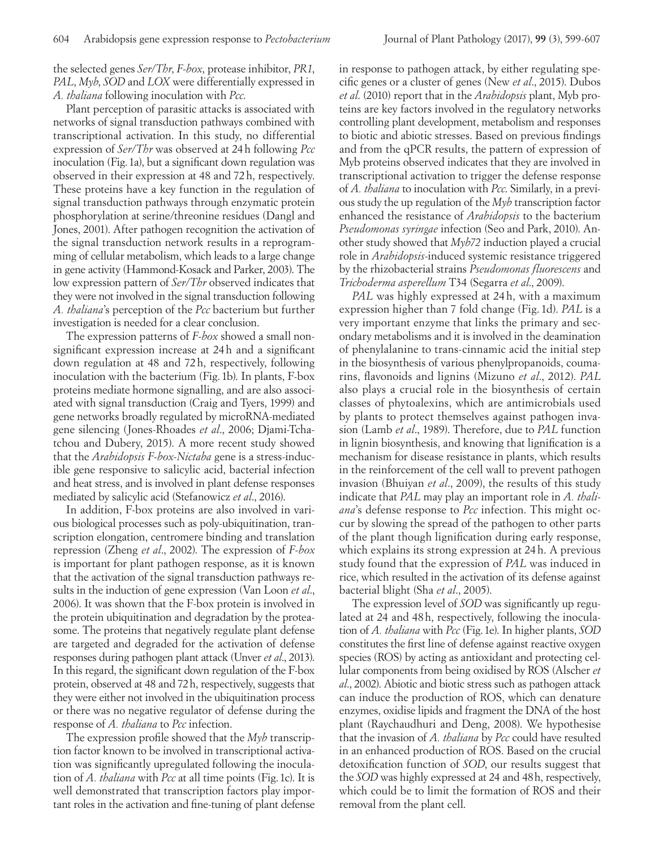the selected genes *Ser/Thr*, *F-box*, protease inhibitor, *PR1*, *PAL*, *Myb*, *SOD* and *LOX* were differentially expressed in *A. thaliana* following inoculation with *Pcc*.

Plant perception of parasitic attacks is associated with networks of signal transduction pathways combined with transcriptional activation. In this study, no differential expression of *Ser/Thr* was observed at 24h following *Pcc* inoculation (Fig.1a), but a significant down regulation was observed in their expression at 48 and 72h, respectively. These proteins have a key function in the regulation of signal transduction pathways through enzymatic protein phosphorylation at serine/threonine residues (Dangl and Jones, 2001). After pathogen recognition the activation of the signal transduction network results in a reprogramming of cellular metabolism, which leads to a large change in gene activity (Hammond-Kosack and Parker, 2003). The low expression pattern of *Ser/Thr* observed indicates that they were not involved in the signal transduction following *A. thaliana*'s perception of the *Pcc* bacterium but further investigation is needed for a clear conclusion.

The expression patterns of *F-box* showed a small nonsignificant expression increase at 24h and a significant down regulation at 48 and 72h, respectively, following inoculation with the bacterium (Fig.1b). In plants, F-box proteins mediate hormone signalling, and are also associated with signal transduction (Craig and Tyers, 1999) and gene networks broadly regulated by microRNA-mediated gene silencing (Jones-Rhoades *et al*., 2006; Djami-Tchatchou and Dubery, 2015). A more recent study showed that the *Arabidopsis F-box-Nictaba* gene is a stress-inducible gene responsive to salicylic acid, bacterial infection and heat stress, and is involved in plant defense responses mediated by salicylic acid (Stefanowicz *et al*., 2016).

In addition, F-box proteins are also involved in various biological processes such as poly-ubiquitination, transcription elongation, centromere binding and translation repression (Zheng *et al*., 2002). The expression of *F-box* is important for plant pathogen response, as it is known that the activation of the signal transduction pathways results in the induction of gene expression (Van Loon *et al*., 2006). It was shown that the F-box protein is involved in the protein ubiquitination and degradation by the proteasome. The proteins that negatively regulate plant defense are targeted and degraded for the activation of defense responses during pathogen plant attack (Unver *et al*., 2013). In this regard, the significant down regulation of the F-box protein, observed at 48 and 72h, respectively, suggests that they were either not involved in the ubiquitination process or there was no negative regulator of defense during the response of *A. thaliana* to *Pcc* infection.

The expression profile showed that the *Myb* transcription factor known to be involved in transcriptional activation was significantly upregulated following the inoculation of *A. thaliana* with *Pcc* at all time points (Fig.1c). It is well demonstrated that transcription factors play important roles in the activation and fine-tuning of plant defense in response to pathogen attack, by either regulating specific genes or a cluster of genes (New *et al*., 2015). Dubos *et al*. (2010) report that in the *Arabidopsis* plant, Myb proteins are key factors involved in the regulatory networks controlling plant development, metabolism and responses to biotic and abiotic stresses. Based on previous findings and from the qPCR results, the pattern of expression of Myb proteins observed indicates that they are involved in transcriptional activation to trigger the defense response of *A. thaliana* to inoculation with *Pcc*. Similarly, in a previous study the up regulation of the *Myb* transcription factor enhanced the resistance of *Arabidopsis* to the bacterium *Pseudomonas syringae* infection (Seo and Park, 2010). Another study showed that *Myb72* induction played a crucial role in *Arabidopsis*-induced systemic resistance triggered by the rhizobacterial strains *Pseudomonas fluorescens* and *Trichoderma asperellum* T34 (Segarra *et al*., 2009).

*PAL* was highly expressed at 24 h, with a maximum expression higher than 7 fold change (Fig. 1d). *PAL* is a very important enzyme that links the primary and secondary metabolisms and it is involved in the deamination of phenylalanine to trans-cinnamic acid the initial step in the biosynthesis of various phenylpropanoids, coumarins, flavonoids and lignins (Mizuno *et al*., 2012). *PAL* also plays a crucial role in the biosynthesis of certain classes of phytoalexins, which are antimicrobials used by plants to protect themselves against pathogen invasion (Lamb *et al*., 1989). Therefore, due to *PAL* function in lignin biosynthesis, and knowing that lignification is a mechanism for disease resistance in plants, which results in the reinforcement of the cell wall to prevent pathogen invasion (Bhuiyan *et al*., 2009), the results of this study indicate that *PAL* may play an important role in *A. thaliana*'s defense response to *Pcc* infection. This might occur by slowing the spread of the pathogen to other parts of the plant though lignification during early response, which explains its strong expression at 24 h. A previous study found that the expression of *PAL* was induced in rice, which resulted in the activation of its defense against bacterial blight (Sha *et al*., 2005).

The expression level of *SOD* was significantly up regulated at 24 and 48h, respectively, following the inoculation of *A. thaliana* with *Pcc* (Fig.1e). In higher plants, *SOD* constitutes the first line of defense against reactive oxygen species (ROS) by acting as antioxidant and protecting cellular components from being oxidised by ROS (Alscher *et al*., 2002). Abiotic and biotic stress such as pathogen attack can induce the production of ROS, which can denature enzymes, oxidise lipids and fragment the DNA of the host plant (Raychaudhuri and Deng, 2008). We hypothesise that the invasion of *A. thaliana* by *Pcc* could have resulted in an enhanced production of ROS. Based on the crucial detoxification function of *SOD*, our results suggest that the *SOD* was highly expressed at 24 and 48h, respectively, which could be to limit the formation of ROS and their removal from the plant cell.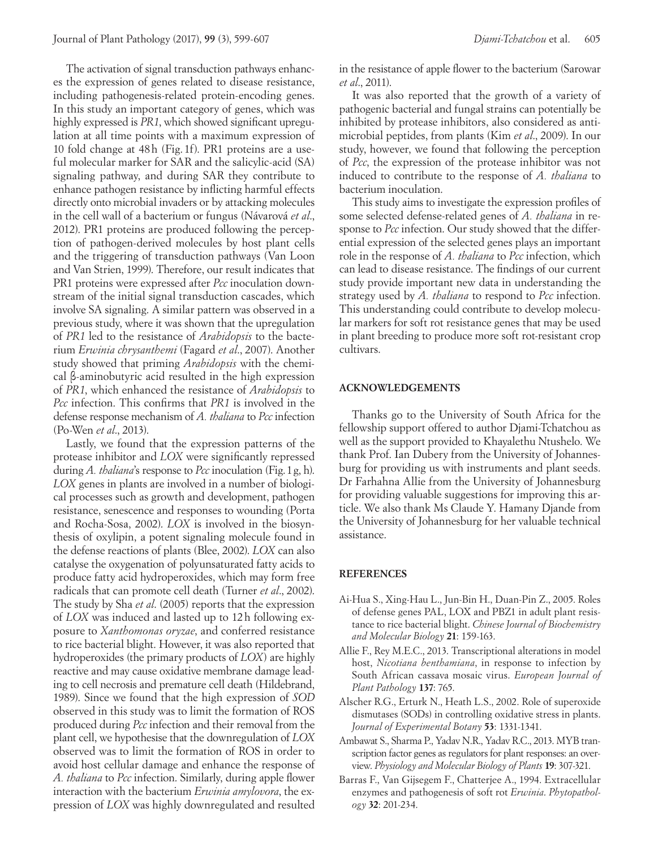The activation of signal transduction pathways enhances the expression of genes related to disease resistance, including pathogenesis-related protein-encoding genes. In this study an important category of genes, which was highly expressed is *PR1*, which showed significant upregulation at all time points with a maximum expression of 10 fold change at 48h (Fig. 1f). PR1 proteins are a useful molecular marker for SAR and the salicylic-acid (SA) signaling pathway, and during SAR they contribute to enhance pathogen resistance by inflicting harmful effects directly onto microbial invaders or by attacking molecules in the cell wall of a bacterium or fungus (Návarová *et al*., 2012). PR1 proteins are produced following the perception of pathogen-derived molecules by host plant cells and the triggering of transduction pathways (Van Loon and Van Strien, 1999). Therefore, our result indicates that PR1 proteins were expressed after *Pcc* inoculation downstream of the initial signal transduction cascades, which involve SA signaling. A similar pattern was observed in a previous study, where it was shown that the upregulation of *PR1* led to the resistance of *Arabidopsis* to the bacterium *Erwinia chrysanthemi* (Fagard *et al*., 2007). Another study showed that priming *Arabidopsis* with the chemical β-aminobutyric acid resulted in the high expression of *PR1*, which enhanced the resistance of *Arabidopsis* to *Pcc* infection. This confirms that *PR1* is involved in the defense response mechanism of *A. thaliana* to *Pcc* infection (Po-Wen *et al*., 2013).

Lastly, we found that the expression patterns of the protease inhibitor and *LOX* were significantly repressed during *A. thaliana*'s response to *Pcc* inoculation (Fig.1g, h). *LOX* genes in plants are involved in a number of biological processes such as growth and development, pathogen resistance, senescence and responses to wounding (Porta and Rocha-Sosa, 2002). *LOX* is involved in the biosynthesis of oxylipin, a potent signaling molecule found in the defense reactions of plants (Blee, 2002). *LOX* can also catalyse the oxygenation of polyunsaturated fatty acids to produce fatty acid hydroperoxides, which may form free radicals that can promote cell death (Turner *et al*., 2002). The study by Sha *et al*. (2005) reports that the expression of *LOX* was induced and lasted up to 12h following exposure to *Xanthomonas oryzae*, and conferred resistance to rice bacterial blight. However, it was also reported that hydroperoxides (the primary products of *LOX*) are highly reactive and may cause oxidative membrane damage leading to cell necrosis and premature cell death (Hildebrand, 1989). Since we found that the high expression of *SOD* observed in this study was to limit the formation of ROS produced during *Pcc* infection and their removal from the plant cell, we hypothesise that the downregulation of *LOX* observed was to limit the formation of ROS in order to avoid host cellular damage and enhance the response of *A. thaliana* to *Pcc* infection. Similarly, during apple flower interaction with the bacterium *Erwinia amylovora*, the expression of *LOX* was highly downregulated and resulted in the resistance of apple flower to the bacterium (Sarowar *et al*., 2011).

It was also reported that the growth of a variety of pathogenic bacterial and fungal strains can potentially be inhibited by protease inhibitors, also considered as antimicrobial peptides, from plants (Kim *et al*., 2009). In our study, however, we found that following the perception of *Pcc*, the expression of the protease inhibitor was not induced to contribute to the response of *A. thaliana* to bacterium inoculation.

This study aims to investigate the expression profiles of some selected defense-related genes of *A. thaliana* in response to *Pcc* infection. Our study showed that the differential expression of the selected genes plays an important role in the response of *A. thaliana* to *Pcc* infection, which can lead to disease resistance. The findings of our current study provide important new data in understanding the strategy used by *A. thaliana* to respond to *Pcc* infection. This understanding could contribute to develop molecular markers for soft rot resistance genes that may be used in plant breeding to produce more soft rot-resistant crop cultivars.

## **ACKNOWLEDGEMENTS**

Thanks go to the University of South Africa for the fellowship support offered to author Djami-Tchatchou as well as the support provided to Khayalethu Ntushelo. We thank Prof. Ian Dubery from the University of Johannesburg for providing us with instruments and plant seeds. Dr Farhahna Allie from the University of Johannesburg for providing valuable suggestions for improving this article. We also thank Ms Claude Y. Hamany Djande from the University of Johannesburg for her valuable technical assistance.

## **REFERENCES**

- Ai-Hua S., Xing-Hau L., Jun-Bin H., Duan-Pin Z., 2005. Roles of defense genes PAL, LOX and PBZ1 in adult plant resistance to rice bacterial blight. *Chinese Journal of Biochemistry and Molecular Biology* **21**: 159-163.
- Allie F., Rey M.E.C., 2013. Transcriptional alterations in model host, *Nicotiana benthamiana*, in response to infection by South African cassava mosaic virus. *European Journal of Plant Pathology* **137**: 765.
- Alscher R.G., Erturk N., Heath L.S., 2002. Role of superoxide dismutases (SODs) in controlling oxidative stress in plants. *Journal of Experimental Botany* **53**: 1331-1341.
- Ambawat S., Sharma P., Yadav N.R., Yadav R.C., 2013. MYB transcription factor genes as regulators for plant responses: an overview. *Physiology and Molecular Biology of Plants* **19**: 307-321.
- Barras F., Van Gijsegem F., Chatterjee A., 1994. Extracellular enzymes and pathogenesis of soft rot *Erwinia*. *Phytopathology* **32**: 201-234.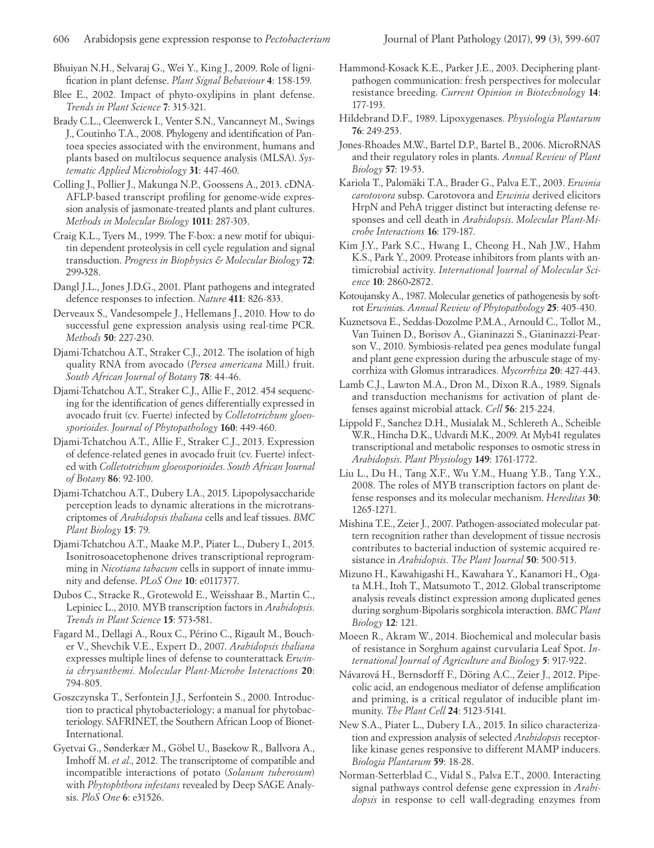Bhuiyan N.H., Selvaraj G., Wei Y., King J., 2009. Role of lignification in plant defense. *Plant Signal Behaviour* **4**: 158-159.

- Blee E., 2002. Impact of phyto-oxylipins in plant defense. *Trends in Plant Science* **7**: 315-321.
- Brady C.L., Cleenwerck I., Venter S.N., Vancanneyt M., Swings J., Coutinho T.A., 2008. Phylogeny and identification of Pantoea species associated with the environment, humans and plants based on multilocus sequence analysis (MLSA). *Systematic Applied Microbiology* **31**: 447-460.
- Colling J., Pollier J., Makunga N.P., Goossens A., 2013. cDNA-AFLP-based transcript profiling for genome-wide expression analysis of jasmonate-treated plants and plant cultures. *Methods in Molecular Biology* **1011**: 287-303.
- Craig K.L., Tyers M., 1999. The F-box: a new motif for ubiquitin dependent proteolysis in cell cycle regulation and signal transduction. *Progress in Biophysics & Molecular Biology* **72**: 299**-**328.
- Dangl J.L., Jones J.D.G., 2001. Plant pathogens and integrated defence responses to infection. *Nature* **411**: 826-833.
- Derveaux S., Vandesompele J., Hellemans J., 2010. How to do successful gene expression analysis using real-time PCR. *Methods* **50**: 227-230.
- Djami-Tchatchou A.T., Straker C.J., 2012. The isolation of high quality RNA from avocado (*Persea americana* Mill.) fruit. *South African Journal of Botany* **78**: 44-46.
- Djami-Tchatchou A.T., Straker C.J., Allie F., 2012. 454 sequencing for the identification of genes differentially expressed in avocado fruit (cv. Fuerte) infected by *Colletotrichum gloeosporioides*. *Journal of Phytopathology* **160**: 449-460.
- Djami-Tchatchou A.T., Allie F., Straker C.J., 2013. Expression of defence-related genes in avocado fruit (cv. Fuerte) infected with *Colletotrichum gloeosporioides*. *South African Journal of Botany* **86**: 92-100.
- Djami-Tchatchou A.T., Dubery I.A., 2015. Lipopolysaccharide perception leads to dynamic alterations in the microtranscriptomes of *Arabidopsis thaliana* cells and leaf tissues. *BMC Plant Biology* **15**: 79.
- Djami-Tchatchou A.T., Maake M.P., Piater L., Dubery I., 2015. Isonitrosoacetophenone drives transcriptional reprogramming in *Nicotiana tabacum* cells in support of innate immunity and defense. *PLoS One* **10**: e0117377.
- Dubos C., Stracke R., Grotewold E., Weisshaar B., Martin C., Lepiniec L., 2010. MYB transcription factors in *Arabidopsis*. *Trends in Plant Science* **15**: 573**-**581.
- Fagard M., Dellagi A., Roux C., Périno C., Rigault M., Boucher V., Shevchik V.E., Expert D., 2007. *Arabidopsis thaliana* expresses multiple lines of defense to counterattack *Erwinia chrysanthemi*. *Molecular Plant-Microbe Interactions* **20**: 794-805.
- Goszczynska T., Serfontein J.J., Serfontein S., 2000. Introduction to practical phytobacteriology; a manual for phytobacteriology. SAFRINET, the Southern African Loop of Bionet-International.
- Gyetvai G., Sønderkær M., Göbel U., Basekow R., Ballvora A., Imhoff M. *et al*., 2012. The transcriptome of compatible and incompatible interactions of potato (*Solanum tuberosum*) with *Phytophthora infestans* revealed by Deep SAGE Analysis. *PloS One* **6**: e31526.
- Hammond-Kosack K.E., Parker J.E., 2003. Deciphering plantpathogen communication: fresh perspectives for molecular resistance breeding. *Current Opinion in Biotechnology* **14**: 177-193.
- Hildebrand D.F., 1989. Lipoxygenases. *Physiologia Plantarum* **76**: 249-253.
- Jones-Rhoades M.W., Bartel D.P., Bartel B., 2006. MicroRNAS and their regulatory roles in plants. *Annual Review of Plant Biology* **57**: 19-53.
- Kariola T., Palomäki T.A., Brader G., Palva E.T., 2003. *Erwinia carotovora* subsp. Carotovora and *Erwinia* derived elicitors HrpN and PehA trigger distinct but interacting defense responses and cell death in *Arabidopsis*. *Molecular Plant-Microbe Interactions* **16**: 179-187.
- Kim J.Y., Park S.C., Hwang I., Cheong H., Nah J.W., Hahm K.S., Park Y., 2009. Protease inhibitors from plants with antimicrobial activity. *International Journal of Molecular Science* **10**: 2860**-**2872.
- Kotoujansky A., 1987. Molecular genetics of pathogenesis by softrot *Erwinia*s. *Annual Review of Phytopathology* **25**: 405-430.
- Kuznetsova E., Seddas-Dozolme P.M.A., Arnould C., Tollot M., Van Tuinen D., Borisov A., Gianinazzi S., Gianinazzi-Pearson V., 2010. Symbiosis-related pea genes modulate fungal and plant gene expression during the arbuscule stage of mycorrhiza with Glomus intraradices. *Mycorrhiza* **20**: 427-443.
- Lamb C.J., Lawton M.A., Dron M., Dixon R.A., 1989. Signals and transduction mechanisms for activation of plant defenses against microbial attack. *Cell* **56**: 215-224.
- Lippold F., Sanchez D.H., Musialak M., Schlereth A., Scheible W.R., Hincha D.K., Udvardi M.K., 2009. At Myb41 regulates transcriptional and metabolic responses to osmotic stress in *Arabidopsis*. *Plant Physiology* **149**: 1761-1772.
- Liu L., Du H., Tang X.F., Wu Y.M., Huang Y.B., Tang Y.X., 2008. The roles of MYB transcription factors on plant defense responses and its molecular mechanism. *Hereditas* **30**: 1265-1271.
- Mishina T.E., Zeier J., 2007. Pathogen-associated molecular pattern recognition rather than development of tissue necrosis contributes to bacterial induction of systemic acquired resistance in *Arabidopsis*. *The Plant Journal* **50**: 500-513.
- Mizuno H., Kawahigashi H., Kawahara Y., Kanamori H., Ogata M.H., Itoh T., Matsumoto T., 2012. Global transcriptome analysis reveals distinct expression among duplicated genes during sorghum-Bipolaris sorghicola interaction. *BMC Plant Biology* **12**: 121.
- Moeen R., Akram W., 2014. Biochemical and molecular basis of resistance in Sorghum against curvularia Leaf Spot. *International Journal of Agriculture and Biology* **5**: 917-922.
- Návarová H., Bernsdorff F., Döring A.C., Zeier J., 2012. Pipecolic acid, an endogenous mediator of defense amplification and priming, is a critical regulator of inducible plant immunity. *The Plant Cell* **24**: 5123-5141.
- New S.A., Piater L., Dubery I.A., 2015. In silico characterization and expression analysis of selected *Arabidopsis* receptorlike kinase genes responsive to different MAMP inducers. *Biologia Plantarum* **59**: 18-28.
- Norman-Setterblad C., Vidal S., Palva E.T., 2000. Interacting signal pathways control defense gene expression in *Arabidopsis* in response to cell wall-degrading enzymes from